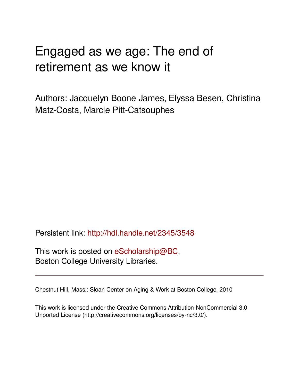# Engaged as we age: The end of retirement as we know it

Authors: Jacquelyn Boone James, Elyssa Besen, Christina Matz-Costa, Marcie Pitt-Catsouphes

Persistent link: <http://hdl.handle.net/2345/3548>

This work is posted on [eScholarship@BC](http://escholarship.bc.edu), Boston College University Libraries.

Chestnut Hill, Mass.: Sloan Center on Aging & Work at Boston College, 2010

This work is licensed under the Creative Commons Attribution-NonCommercial 3.0 Unported License (http://creativecommons.org/licenses/by-nc/3.0/).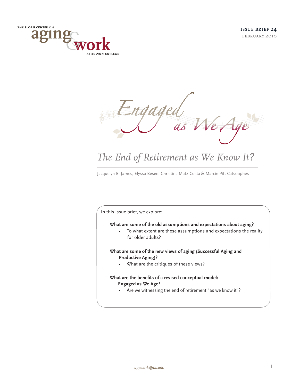



## *The End of Retirement as We Know It?*

Jacquelyn B. James, Elyssa Besen, Christina Matz-Costa & Marcie Pitt-Catsouphes

In this issue brief, we explore:

#### **What are some of the old assumptions and expectations about aging?**

• To what extent are these assumptions and expectations the reality for older adults?

## **What are some of the new views of aging (Successful Aging and Productive Aging)?**

• What are the critiques of these views?

## **What are the benefits of a revised conceptual model: Engaged as We Age?**

• Are we witnessing the end of retirement "as we know it"?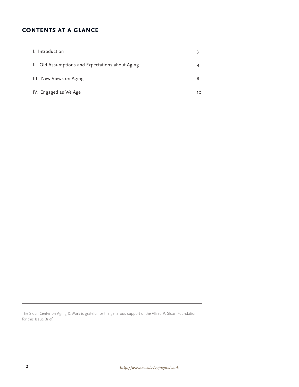## **contents at a glance**

| I. Introduction                                  |    |
|--------------------------------------------------|----|
| II. Old Assumptions and Expectations about Aging |    |
| III. New Views on Aging                          |    |
| IV. Engaged as We Age                            | 10 |

The Sloan Center on Aging & Work is grateful for the generous support of the Alfred P. Sloan Foundation for this Issue Brief.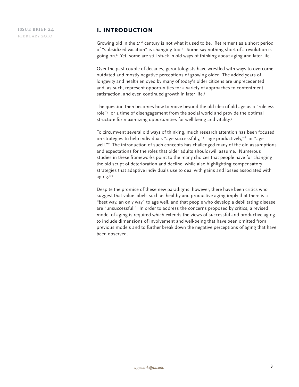## **i. introduction**

Growing old in the 21<sup>st</sup> century is not what it used to be. Retirement as a short period of "subsidized vacation" is changing too.<sup>1</sup> Some say nothing short of a revolution is going on.2 Yet, some are still stuck in old ways of thinking about aging and later life.

Over the past couple of decades, gerontologists have wrestled with ways to overcome outdated and mostly negative perceptions of growing older. The added years of longevity and health enjoyed by many of today's older citizens are unprecedented and, as such, represent opportunities for a variety of approaches to contentment, satisfaction, and even continued growth in later life.<sup>3</sup>

The question then becomes how to move beyond the old idea of old age as a "roleless role"4 or a time of disengagement from the social world and provide the optimal structure for maximizing opportunities for well-being and vitality.<sup>5</sup>

To circumvent several old ways of thinking, much research attention has been focused on strategies to help individuals "age successfully,"4 "age productively,"6 or "age well."7 The introduction of such concepts has challenged many of the old assumptions and expectations for the roles that older adults should/will assume. Numerous studies in these frameworks point to the many choices that people have for changing the old script of deterioration and decline, while also highlighting compensatory strategies that adaptive individuals use to deal with gains and losses associated with aging.<sup>8,9</sup>

Despite the promise of these new paradigms, however, there have been critics who suggest that value labels such as healthy and productive aging imply that there is a "best way, an only way" to age well, and that people who develop a debilitating disease are "unsuccessful." In order to address the concerns proposed by critics, a revised model of aging is required which extends the views of successful and productive aging to include dimensions of involvement and well-being that have been omitted from previous models and to further break down the negative perceptions of aging that have been observed.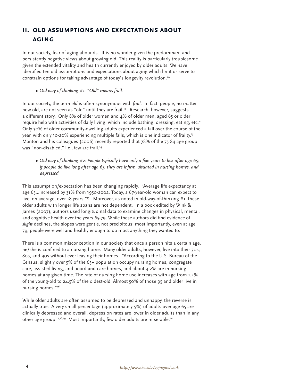## **ii. old assumptions and expectations about aging**

In our society, fear of aging abounds. It is no wonder given the predominant and persistently negative views about growing old. This reality is particularly troublesome given the extended vitality and health currently enjoyed by older adults. We have identified ten old assumptions and expectations about aging which limit or serve to constrain options for taking advantage of today's longevity revolution.<sup>10</sup>

Ω *Old way of thinking #1: "Old" means frail.*

In our society, the term *old* is often synonymous with *frail*. In fact, people, no matter how old, are not seen as "old" until they are frail.<sup>11</sup> Research, however, suggests a different story. Only 8% of older women and 4% of older men, aged 65 or older require help with activities of daily living, which include bathing, dressing, eating, etc.<sup>12</sup> Only 30% of older community-dwelling adults experienced a fall over the course of the year, with only 10-20% experiencing multiple falls, which is one indicator of frailty.<sup>13</sup> Manton and his colleagues (2006) recently reported that 78% of the 75-84 age group was "non-disabled," i.e., few are frail.<sup>14</sup>

Ω *Old way of thinking #2: People typically have only a few years to live after age 65; if people do live long after age 65, they are infirm, situated in nursing homes, and depressed.*

This assumption/expectation has been changing rapidly. "Average life expectancy at age 65…increased by 31% from 1950-2002. Today, a 67-year-old woman can expect to live, on average, over 18 years."<sup>15</sup> Moreover, as noted in old-way-of-thinking #1, these older adults with longer life spans are not dependent. In a book edited by Wink & James (2007), authors used longitudinal data to examine changes in physical, mental, and cognitive health over the years 65-79. While these authors did find evidence of *slight* declines, the slopes were gentle, not precipitous; most importantly, even at age 79, people were well and healthy enough to do most anything they wanted to.3

There is a common misconception in our society that once a person hits a certain age, he/she is confined to a nursing home. Many older adults, however, live into their 70s, 80s, and 90s without ever leaving their homes. "According to the U.S. Bureau of the Census, slightly over 5% of the 65+ population occupy nursing homes, congregate care, assisted living, and board-and-care homes, and about 4.2% are in nursing homes at any given time. The rate of nursing home use increases with age from 1.4% of the young-old to 24.5% of the oldest-old. Almost 50% of those 95 and older live in nursing homes."16

While older adults are often assumed to be depressed and unhappy, the reverse is actually true. A very small percentage (approximately 5%) of adults over age 65 are clinically depressed and overall, depression rates are lower in older adults than in any other age group.<sup>17,18,19</sup> Most importantly, few older adults are miserable.<sup>20</sup>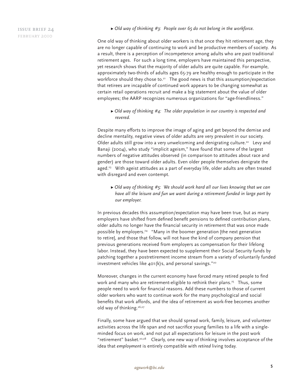Ω *Old way of thinking #3: People over 65 do not belong in the workforce.*

One old way of thinking about older workers is that once they hit retirement age, they are no longer capable of continuing to work and be productive members of society. As a result, there is a perception of incompetence among adults who are past traditional retirement ages. For such a long time, employers have maintained this perspective, yet research shows that the majority of older adults are quite capable. For example, approximately two-thirds of adults ages 65-79 are healthy enough to participate in the workforce should they chose to.<sup>21</sup> The good news is that this assumption/expectation that retirees are incapable of continued work appears to be changing somewhat as certain retail operations recruit and make a big statement about the value of older employees; the AARP recognizes numerous organizations for "age-friendliness."

Ω *Old way of thinking #4: The older population in our country is respected and revered.*

Despite many efforts to improve the image of aging and get beyond the demise and decline mentality, negative views of older adults are very prevalent in our society. Older adults still grow into a very unwelcoming and denigrating culture.<sup>22</sup> Levy and Banaji (2004), who study "implicit ageism," have found that some of the largest numbers of negative attitudes observed (in comparison to attitudes about race and gender) are those toward older adults. Even older people themselves denigrate the aged.<sup>23</sup> With ageist attitudes as a part of everyday life, older adults are often treated with disregard and even contempt.

Ω *Old way of thinking #5: We should work hard all our lives knowing that we can have all the leisure and fun we want during a retirement funded in large part by our employer.* 

In previous decades this assumption/expectation may have been true, but as many employers have shifted from defined benefit pensions to defined contribution plans, older adults no longer have the financial security in retirement that was once made possible by employers.<sup>24</sup> "Many in the boomer generation [the next generation to retire], and those that follow, will not have the kind of company pension that previous generations received from employers as compensation for their lifelong labor. Instead, they have been expected to supplement their Social Security funds by patching together a postretirement income stream from a variety of voluntarily funded investment vehicles like 401(k)s, and personal savings."20

Moreover, changes in the current economy have forced many retired people to find work and many who are retirement-eligible to rethink their plans.<sup>25</sup> Thus, some people need to work for financial reasons. Add these numbers to those of current older workers who want to continue work for the many psychological and social benefits that work affords, and the idea of retirement as work-free becomes another old way of thinking.<sup>26,27</sup>

Finally, some have argued that we should spread work, family, leisure, and volunteer activities across the life span and not sacrifice young families to a life with a singleminded focus on work, and not put all expectations for leisure in the post work "retirement" basket.<sup>20,28</sup> Clearly, one new way of thinking involves acceptance of the idea that *employment* is entirely compatible with *retired* living today.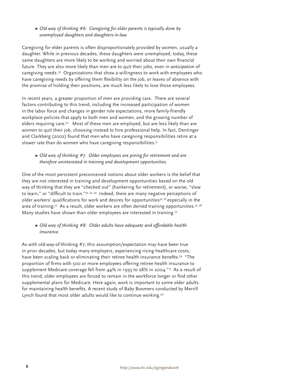## Ω *Old way of thinking #6: Caregiving for elder parents is typically done by unemployed daughters and daughters-in-law.*

Caregiving for elder parents is often disproportionately provided by women, usually a daughter. While in previous decades, these daughters were unemployed, today, these same daughters are more likely to be working and worried about their own financial future. They are also more likely than men are to quit their jobs, even in *anticipation* of caregiving needs.<sup>29</sup> Organizations that show a willingness to work with employees who have caregiving needs by offering them flexibility on the job, or leaves of absence with the promise of holding their positions, are much less likely to lose those employees.

In recent years, a greater proportion of men are providing care. There are several factors contributing to this trend, including the increased participation of women in the labor force and changes in gender role expectations, more family-friendly workplace policies that apply to both men and women, and the growing number of elders requiring care.<sup>30</sup> Most of these men are employed, but are less likely than are women to quit their job, choosing instead to hire professional help. In fact, Dentinger and Clarkberg (2002) found that men who have caregiving responsibilities retire at a slower rate than do women who have caregiving responsibilities.<sup>31</sup>

## Ω *Old way of thinking #7: Older employees are pining for retirement and are therefore uninterested in training and development opportunities.*

One of the most persistent preconceived notions about older workers is the belief that they are not interested in training and development opportunities based on the old way of thinking that they are "checked out" (hankering for retirement), or worse, "slow to learn," or "difficult to train."<sup>32, 33, 34</sup> Indeed, there are many negative perceptions of older workers' qualifications for work and desires for opportunities<sup>35, 36</sup> especially in the area of training.<sup>37</sup> As a result, older workers are often denied training opportunities.<sup>37, 38</sup> Many studies have shown than older employees are interested in training.<sup>23</sup>

## Ω *Old way of thinking #8: Older adults have adequate and affordable health insurance.*

As with old-way-of-thinking #7, this assumption/expectation may have been true in prior decades, but today many employers, experiencing rising healthcare costs, have been scaling back or eliminating their retiree health insurance benefits.<sup>39</sup> "The proportion of firms with 500 or more employees offering retiree health insurance to supplement Medicare coverage fell from 44% in 1993 to 28% in 2004."15 As a result of this trend, older employees are forced to remain in the workforce longer or find other supplemental plans for Medicare. Here again, work is important to some older adults for maintaining health benefits. A recent study of Baby Boomers conducted by Merrill Lynch found that most older adults would like to continue working.<sup>40</sup>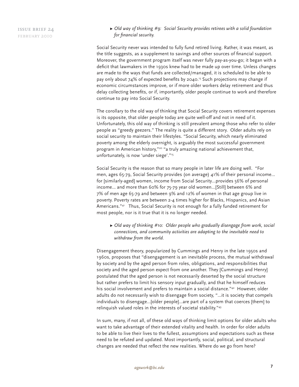Ω *Old way of thinking #9: Social Security provides retirees with a solid foundation for financial security.*

Social Security never was intended to fully fund retired living. Rather, it was meant, as the title suggests, as a supplement to savings and other sources of financial support. Moreover, the government program itself was never fully pay-as-you-go; it began with a deficit that lawmakers in the 1930s knew had to be made up over time. Unless changes are made to the ways that funds are collected/managed, it is scheduled to be able to pay only about 74% of expected benefits by 2040.<sup>15</sup> Such projections may change if economic circumstances improve, or if more older workers delay retirement and thus delay collecting benefits, or if, importantly, older people continue to work and therefore continue to pay into Social Security.

The corollary to the old way of thinking that Social Security covers retirement expenses is its opposite, that older people today are quite well-off and not in need of it. Unfortunately, this old way of thinking is still prevalent among those who refer to older people as "greedy geezers." The reality is quite a different story. Older adults rely on social security to maintain their lifestyles. "Social Security, which nearly eliminated poverty among the elderly overnight, is arguably the most successful government program in American history,"20 "a truly amazing national achievement that, unfortunately, is now 'under siege'."15

Social Security is the reason that so many people in later life are doing well. "For men, ages 65-79, Social Security provides (on average) 41% of their personal income… for [similarly-aged] women, income from Social Security…provides 56% of personal income… and more than 60% for 75-79 year old women...[Still] between 6% and 7% of men age 65-79 and between 9% and 12% of women in that age group live in poverty. Poverty rates are between 2-4 times higher for Blacks, Hispanics, and Asian Americans."41 Thus, Social Security is not enough for a fully funded retirement for most people, nor is it true that it is no longer needed.

Ω *Old way of thinking #10: Older people who gradually disengage from work, social connections, and community activities are adapting to the inevitable need to withdraw from the world.* 

Disengagement theory, popularized by Cummings and Henry in the late 1950s and 1960s, proposes that "disengagement is an inevitable process, the mutual withdrawal by society and by the aged person from roles, obligations, and responsibilities that society and the aged person expect from one another. They [Cummings and Henry] postulated that the aged person is not necessarily deserted by the social structure but rather prefers to limit his sensory input gradually, and that he himself reduces his social involvement and prefers to maintain a social distance."<sup>42</sup> However, older adults do not necessarily wish to disengage from society, "…it is society that compels individuals to disengage…[older people]…are part of a system that coerces [them] to relinquish valued roles in the interests of societal stability."43

In sum, many, if not all, of these old ways of thinking limit options for older adults who want to take advantage of their extended vitality and health. In order for older adults to be able to live their lives to the fullest, assumptions and expectations such as these need to be refuted and updated. Most importantly, social, political, and structural changes are needed that reflect the new realities. Where do we go from here?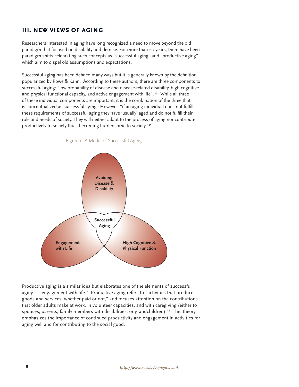## **iii. new views of aging**

Researchers interested in aging have long recognized a need to move beyond the old paradigm that focused on disability and demise. For more than 20 years, there have been paradigm shifts celebrating such concepts as "successful aging" and "productive aging" which aim to dispel old assumptions and expectations.

Successful aging has been defined many ways but it is generally known by the definition popularized by Rowe & Kahn. According to these authors, there are three components to successful aging: "low probability of disease and disease-related disability, high cognitive and physical functional capacity, and active engagement with life".44 While all three of these individual components are important, it is the combination of the three that is conceptualized as successful aging. However, "if an aging individual does not fulfill these requirements of successful aging they have 'usually' aged and do not fulfill their role and needs of society. They will neither adapt to the process of aging nor contribute productively to society thus, becoming burdensome to society."45





Productive aging is a similar idea but elaborates one of the elements of successful aging —"engagement with life." Productive aging refers to "activities that produce goods and services, whether paid or not," and focuses attention on the contributions that older adults make at work, in volunteer capacities, and with caregiving (either to spouses, parents, family members with disabilities, or grandchildren)."6 This theory emphasizes the importance of continued productivity and engagement in activities for aging well and for contributing to the social good.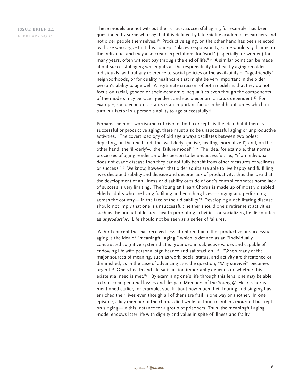These models are not without their critics. Successful aging, for example, has been questioned by some who say that it is defined by late midlife academic researchers and not older people themselves.46 Productive aging, on the other hand has been rejected by those who argue that this concept "places responsibility, some would say, blame, on the individual and may also create expectations for 'work' (especially for women) for many years, often without pay through the end of life." $47$  A similar point can be made about successful aging which puts all the responsibility for healthy aging on older individuals, without any reference to social policies or the availability of "age-friendly" neighborhoods, or for quality healthcare that might be very important in the older person's ability to age well. A legitimate criticism of both models is that they do not focus on racial, gender, or socio-economic inequalities even though the components of the models may be race-, gender-, and socio-economic status-dependent.<sup>47</sup> For example, socio-economic status is an important factor in health outcomes which in turn is a factor in a person's ability to age successfully.<sup>48</sup>

Perhaps the most worrisome criticism of both concepts is the idea that if there is successful or productive aging, there must also be unsuccessful aging or unproductive activities. "The covert ideology of old age always oscillates between two poles: depicting, on the one hand, the 'well-derly' (active, healthy, 'normalized') and, on the other hand, the 'ill-derly'–…the 'failure model'."49 The idea, for example, that normal processes of aging render an older person to be unsuccessful, i.e., "if an individual does not evade disease then they cannot fully benefit from other measures of wellness or success."<sup>45</sup> We know, however, that older adults are able to live happy and fulfilling lives despite disability and disease and despite lack of productivity; thus the idea that the development of an illness or disability outside of one's control connotes some lack of success is very limiting. The Young @ Heart Chorus is made up of mostly disabled, elderly adults who are living fulfilling and enriching lives—singing and performing across the country— in the face of their disability.<sup>50</sup> Developing a debilitating disease should not imply that one is unsuccessful; neither should one's retirement activities such as the pursuit of leisure, health promoting activities, or socializing be discounted as *unproductive*. Life should not be seen as a series of failures.

 A third concept that has received less attention than either productive or successful aging is the idea of "meaningful aging," which is defined as an "individually constructed cognitive system that is grounded in subjective values and capable of endowing life with personal significance and satisfaction."<sup>51</sup> "When many of the major sources of meaning, such as work, social status, and activity are threatened or diminished, as in the case of advancing age, the question, "Why survive?" becomes urgent.<sup>52</sup> One's health and life satisfaction importantly depends on whether this existential need is met."<sup>51</sup> By examining one's life through this lens, one may be able to transcend personal losses and despair. Members of the Young @ Heart Chorus mentioned earlier, for example, speak about how much their touring and singing has enriched their lives even though all of them are frail in one way or another. In one episode, a key member of the chorus died while on tour; members mourned but kept on singing—in this instance for a group of prisoners. Thus, the meaningful aging model endows later life with dignity and value in spite of illness and frailty.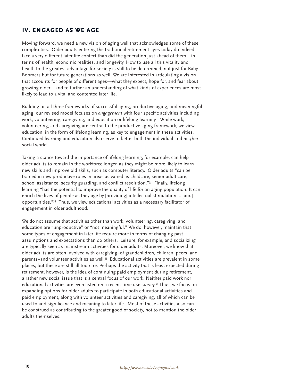## **iv. engaged as we age**

Moving forward, we need a new vision of aging well that acknowledges some of these complexities. Older adults entering the traditional retirement ages today do indeed face a very different later life context than did the generation just ahead of them—in terms of health, economic realities, and longevity. How to use all this vitality and health to the greatest advantage for society is still to be determined, not just for Baby Boomers but for future generations as well. We are interested in articulating a vision that accounts for people of different ages—what they expect, hope for, and fear about growing older—and to further an understanding of what kinds of experiences are most likely to lead to a vital and contented later life.

Building on all three frameworks of successful aging, productive aging, and meaningful aging, our revised model focuses on *engagement* with four specific activities including work, volunteering, caregiving, and education or lifelong learning. While work, volunteering, and caregiving are central to the productive aging framework, we view education, in the form of lifelong learning, as key to engagement in these activities. Continued learning and education also serve to better both the individual and his/her social world.

Taking a stance toward the importance of lifelong learning, for example, can help older adults to remain in the workforce longer, as they might be more likely to learn new skills and improve old skills, such as computer literacy. Older adults "can be trained in new productive roles in areas as varied as childcare, senior adult care, school assistance, security guarding, and conflict resolution."<sup>53</sup> Finally, lifelong learning "has the potential to improve the quality of life for an aging population. It can enrich the lives of people as they age by [providing] intellectual stimulation … [and] opportunities."54 Thus, we view educational activities as a necessary facilitator of engagement in older adulthood.

We do not assume that activities other than work, volunteering, caregiving, and education are "unproductive" or "not meaningful." We do, however, maintain that some types of engagement in later life require more in terms of changing past assumptions and expectations than do others. Leisure, for example, and socializing are typically seen as mainstream activities for older adults. Moreover, we know that older adults are often involved with caregiving–of grandchildren, children, peers, and parents–and volunteer activities as well.55 Educational activities are prevalent in some places, but these are still all too rare. Perhaps the activity that is least expected during retirement, however, is the idea of continuing paid employment during retirement, a rather new social issue that is a central focus of our work. Neither paid work nor educational activities are even listed on a recent time-use survey.55 Thus, we focus on expanding options for older adults to participate in both educational activities and paid employment, along with volunteer activities and caregiving, all of which can be used to add significance and meaning to later life. Most of these activities also can be construed as contributing to the greater good of society, not to mention the older adults themselves.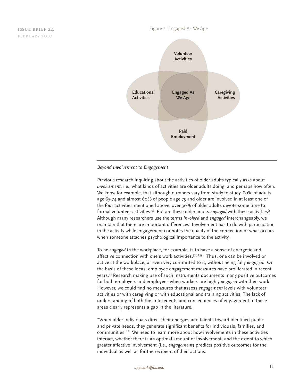#### Figure 2. Engaged As We Age



#### *Beyond Involvement to Engagement*

Previous research inquiring about the activities of older adults typically asks about *involvement*, i.e., what kinds of activities are older adults doing, and perhaps how often. We know for example, that although numbers vary from study to study, 80% of adults age 65-74 and almost 60% of people age 75 and older are involved in at least one of the four activities mentioned above; over 30% of older adults devote some time to formal volunteer activities.56 But are these older adults *engaged* with these activities? Although many researchers use the terms *involved* and *engaged* interchangeably, we maintain that there are important differences. Involvement has to do with participation in the activity while engagement connotes the quality of the connection or what occurs when someone attaches psychological importance to the activity.

To be *engaged* in the workplace, for example, is to have a sense of energetic and affective connection with one's work activities.57,58,59 Thus, one can be involved or active at the workplace, or even very committed to it, without being fully *engaged.* On the basis of these ideas, employee engagement measures have proliferated in recent years.25 Research making use of such instruments documents many positive outcomes for both employers and employees when workers are highly *engaged* with their work. However, we could find no measures that assess *engagement* levels with volunteer activities or with caregiving or with educational and training activities. The lack of understanding of both the antecedents and consequences of engagement in these areas clearly represents a gap in the literature.

"When older individuals direct their energies and talents toward identified public and private needs, they generate significant benefits for individuals, families, and communities."6 We need to learn more about how involvements in these activities interact, whether there is an optimal amount of involvement, and the extent to which greater affective involvement (i.e., *engagement*) predicts positive outcomes for the individual as well as for the recipient of their actions.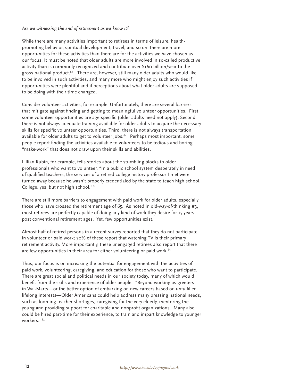#### *Are we witnessing the end of retirement as we know it?*

While there are many activities important to retirees in terms of leisure, healthpromoting behavior, spiritual development, travel, and so on, there are more opportunities for these activities than there are for the activities we have chosen as our focus. It must be noted that older adults are more involved in so-called productive activity than is commonly recognized and contribute over \$160 billion/year to the gross national product.<sup>60</sup> There are, however, still many older adults who would like to be involved in such activities, and many more who might enjoy such activities if opportunities were plentiful and if perceptions about what older adults are supposed to be doing with their time changed.

Consider volunteer activities, for example. Unfortunately, there are several barriers that mitigate against finding and getting to meaningful volunteer opportunities. First, some volunteer opportunities are age-specific (older adults need not apply). Second, there is not always adequate training available for older adults to acquire the necessary skills for specific volunteer opportunities. Third, there is not always transportation available for older adults to get to volunteer jobs.<sup>61</sup> Perhaps most important, some people report finding the activities available to volunteers to be tedious and boring "make-work" that does not draw upon their skills and abilities.

Lillian Rubin, for example, tells stories about the stumbling blocks to older professionals who want to volunteer. "In a public school system desperately in need of qualified teachers, the services of a retired college history professor I met were turned away because he wasn't properly credentialed by the state to teach high school. College, yes, but not high school."62

There are still more barriers to engagement with paid work for older adults, especially those who have crossed the retirement age of 65. As noted in old-way-of-thinking #3, most retirees are perfectly capable of doing any kind of work they desire for 15 years post conventional retirement ages. Yet, few opportunities exist.

Almost half of retired persons in a recent survey reported that they do not participate in volunteer or paid work; 70% of these report that watching TV is their primary retirement activity. More importantly, these unengaged retirees also report that there are few opportunities in their area for either volunteering or paid work.<sup>63</sup>

Thus, our focus is on increasing the potential for engagement with the activities of paid work, volunteering, caregiving, and education for those who want to participate. There are great social and political needs in our society today, many of which would benefit from the skills and experience of older people. "Beyond working as greeters in Wal-Marts—or the better option of embarking on new careers based on unfulfilled lifelong interests—Older Americans could help address many pressing national needs, such as looming teacher shortages, caregiving for the very elderly, mentoring the young and providing support for charitable and nonprofit organizations. Many also could be hired part-time for their experience, to train and impart knowledge to younger workers<sup>"64</sup>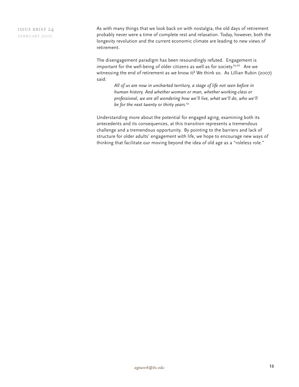As with many things that we look back on with nostalgia, the old days of retirement probably never were a time of complete rest and relaxation. Today, however, both the longevity revolution and the current economic climate are leading to new views of retirement.

The disengagement paradigm has been resoundingly refuted. Engagement is important for the well-being of older citizens as well as for society.<sup>65,66</sup> Are we witnessing the end of retirement as we know it? We think so. As Lillian Rubin (2007) said:

*All of us are now in uncharted territory, a stage of life not seen before in human history. And whether woman or man, whether working-class or professional, we are all wondering how we'll live, what we'll do, who we'll be for the next twenty or thirty years.*<sup>62</sup>

Understanding more about the potential for engaged aging, examining both its antecedents and its consequences, at this transition represents a tremendous challenge and a tremendous opportunity. By pointing to the barriers and lack of structure for older adults' engagement with life, we hope to encourage new ways of thinking that facilitate our moving beyond the idea of old age as a "roleless role."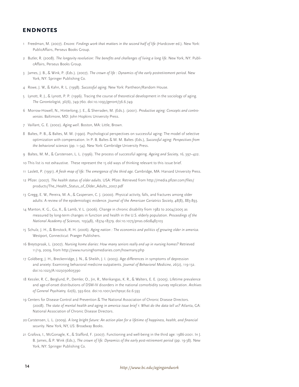## **endnotes**

- 1 Freedman, M. (2007). *Encore: Findings work that matters in the second half of life* (Hardcover ed.). New York: PublicAffairs, Perseus Books Group.
- 2 Butler, R. (2008). *The longevity revolution: The benefits and challenges of living a long life*. New York, NY: PublicAffairs, Perseus Books Group.
- 3 James, J. B., & Wink, P. (Eds.). (2007). *The crown of life : Dynamics of the early postretirement period*. New York, NY: Springer Publishing Co.
- 4 Rowe, J. W., & Kahn, R. L. (1998). *Successful aging*. New York: Pantheon/Random House.
- 5 Lynott, R. J., & Lynott, P. P. (1996). Tracing the course of theoretical development in the sociology of aging. *The Gerontologist, 36*(6), 749-760. doi:10.1093/geront/36.6.749
- 6 Morrow-Howell, N., Hinterlong, J. E., & Sherraden, M. (Eds.). (2001). *Productive aging: Concepts and controversies*. Baltimore, MD: John Hopkins University Press.
- 7 Vaillant, G. E. (2002). *Aging well*. Boston, MA: Little, Brown.
- 8 Baltes, P. B., & Baltes, M. M. (1990). Psychological perspectives on successful aging: The model of selective optimization with compensation. In P. B. Baltes & M. M. Baltes (Eds.), *Successful aging: Perspectives from the behavioral sciences* (pp. 1–34). New York: Cambridge University Press.
- 9 Baltes, M. M., & Carstensen, L. L. (1996). The process of successful ageing. *Ageing and Society, 16*, 397–422.
- 10 This list is not exhaustive. These represent the 15 old ways of thinking relevant to this issue brief.
- 11 Laslett, P. (1991). *A fresh map of life: The emergence of the third age.* Cambridge, MA: Harvard University Press.
- 12 Pfizer. (2007). *The health status of older adults.* USA: Pfizer. Retrieved from http://media.pfizer.com/files/ products/The\_Health\_Status\_of\_Older\_Adults\_2007.pdf
- 13 Gregg, E. W., Pereira, M. A., & Caspersen, C. J. (2000). Physical activity, falls, and fractures among older adults: A review of the epidemiologic evidence. *Journal of the American Geriatrics Society, 48*(8), 883-893.
- 14 Manton, K. G., Gu, X., & Lamb, V. L. (2006). Change in chronic disability from 1982 to 2004/2005 as measured by long-term changes in function and health in the U.S. elderly population. *Proceedings of the National Academy of Sciences, 103*(48), 18374-18379. doi:10.1073/pnas.0608483103
- 15 Schulz, J. H., & Binstock, R. H. (2006). *Aging nation : The economics and politics of growing older in america.* Westport, Connecticut: Praeger Publishers.
- 16 Breytspraak, L. (2007). *Nursing home diaries: How many seniors really end up in nursing homes?* Retrieved 11/19, 2009, from http://www.nursinghomediaries.com/howmany.php
- 17 Goldberg, J. H., Breckenridge, J. N., & Sheikh, J. I. (2003). Age differences in symptoms of depression and anxiety: Examining behavioral medicine outpatients. *Journal of Behavioral Medicine, 26*(2), 119-132. doi:10.1023/A:1023030605390
- 18 Kessler, R. C., Berglund, P., Demler, O., Jin, R., Merikangas, K. R., & Walters, E. E. (2005). Lifetime prevalence and age-of-onset distributions of DSM-IV disorders in the national comorbidity survey replication. *Archives of General Psychiatry, 62*(6), 593-602. doi:10.1001/archpsyc.62.6.593
- 19 Centers for Disease Control and Prevention & The National Association of Chronic Disease Directors. (2008). *The state of mental health and aging in america issue brief 1: What do the data tell us?* Atlanta, GA: National Association of Chronic Disease Directors.
- 20 Carstensen, L. L. (2009). *A long bright future: An action plan for a lifetime of happiness, health, and financial security*. New York, NY, US: Broadway Books.
- 21 Grafova, I., McGonagle, K., & Stafford, F. (2007). Functioning and well-being in the third age: 1986-2001. In J. B. James, & P. Wink (Eds.), *The crown of life: Dynamics of the early post-retirement period* (pp. 19-38). New York, NY: Springer Publishing Co.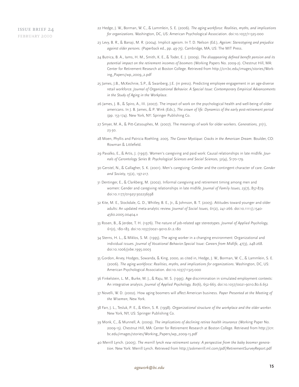- 22 Hedge, J. W., Borman, W. C., & Lammlein, S. E. (2006). *The aging workforce: Realities, myths, and implications for organizations.* Washington, DC, US: American Psychological Association. doi:10.1037/11325-000
- 23 Levy, B. R., & Banaji, M. R. (2004). Implicit ageism. In T. D. Nelson (Ed.), *Ageism: Stereotyping and prejudice against older persons.* (Paperback ed., pp. 49-75). Cambridge, MA, US: The MIT Press.
- 24 Butrica, B. A., Iams, H. M., Smith, K. E., & Toder, E. J. (2009). *The disappearing defined benefit pension and its potential impact on the retirement incomes of boomers* (Working Papers No. 2009-2). Chestnut Hill, MA: Center for Retirement Research at Boston College. Retrieved from http://crr.bc.edu/images/stories/Working\_Papers/wp\_2009\_2.pdf
- 25 James, J.B., McKechnie, S.P., & Swanberg, J.E. (in press). Predicting employee engagement in an age-diverse retail workforce. *Journal of Organizational Behavior. A Special Issue: Contemporary Empirical Advancements in the Study of Aging in the Workplace.*
- 26 James, J. B., & Spiro, A., III. (2007). The impact of work on the psychological health and well-being of older americans. In J. B. James, & P. Wink (Eds.), *The crown of life: Dynamics of the early post-retirement period* (pp. 153-174). New York, NY: Springer Publishing Co.
- 27 Smyer, M. A., & Pitt-Catsouphes, M. (2007). The meanings of work for older workers. *Generations, 31*(1), 23-30.
- 28 Moen, Phyllis and Patricia Roehling. 2005. *The Career Mystique: Cracks in the American Dream.* Boulder, CO: Rowman & Littlefield.
- 29 Pavalko, E., & Artis, J. (1997). Women's caregiving and paid work: Causal relationships in late midlife. *Journals of Gerontology Series B: Psychological Sciences and Social Sciences, 52*(4), S170-179.
- 30 Gerstel, N., & Gallagher, S. K. (2001). Men's caregiving: Gender and the contingent character of care. *Gender and Society, 15*(2), 197-217.
- 31 Dentinger, E., & Clarkberg, M. (2002). Informal caregiving and retirement timing among men and women: Gender and caregiving relationships in late midlife. *Journal of Family Issues, 23*(7), 857-879. doi:10.1177/019251302236598
- 32 Kite, M. E., Stockdale, G. D., Whitley, B. E., Jr., & Johnson, B. T. (2005). Attitudes toward younger and older adults: An updated meta-analytic review. *Journal of Social Issues, 61*(2), 241-266. doi:10.1111/j.1540- 4560.2005.00404.x
- 33 Rosen, B., & Jerdee, T. H. (1976). The nature of job-related age stereotypes. *Journal of Applied Psychology, 61*(2), 180-183. doi:10.1037/0021-9010.61.2.180
- 34 Sterns, H. L., & Miklos, S. M. (1995). The aging worker in a changing environment: Organizational and individual issues. *Journal of Vocational Behavior.Special Issue: Careers from Midlife, 47*(3), 248-268. doi:10.1006/jvbe.1995.0003
- 35 Gordon, Arvey, Hodges, Sowanda, & King, 2000, as cited in, Hedge, J. W., Borman, W. C., & Lammlein, S. E. (2006). *The aging workforce: Realities, myths, and implications for organizations.* Washington, DC, US: American Psychological Association. doi:10.1037/11325-000
- 36 Finkelstein, L. M., Burke, M. J., & Raju, M. S. (1995). Age discrimination in simulated employment contexts: An integrative analysis. *Journal of Applied Psychology, 80*(6), 652-663. doi:10.1037/0021-9010.80.6.652
- 37 Novelli, W. D. (2002). How aging boomers will affect American business. *Paper Presented at the Meeting of the Wisemen,* New York.
- 38 Farr, J. L., Tesluk, P. E., & Klein, S. R. (1998). *Organizational structure of the workplace and the older worker.*  New York, NY, US: Springer Publishing Co.
- 39 Monk, C., & Munnell, A. (2009). *The implications of declining retiree health insurance* (Working Paper No. 2009-15). Chestnut Hill, MA: Center for Retirement Research at Boston College. Retrieved from http://crr. bc.edu/images/stories/Working\_Papers/wp\_2009-15.pdf
- 40 Merrill Lynch. (2005). *The merrill lynch new retirement survey: A perspective from the baby boomer generation.* New York: Merrill Lynch. Retrieved from http://askmerrill.ml.com/pdf/RetirementSurveyReport.pdf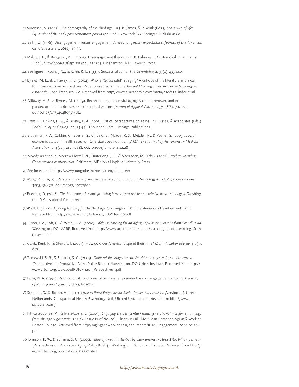- 41 Sorensen, A. (2007). The demography of the third age. In J. B. James, & P. Wink (Eds.), *The crown of life: Dynamics of the early post-retirement period* (pp. 1-18). New York, NY: Springer Publishing Co.
- 42 Bell, J. Z. (1978). Disengagement versus engagement: A need for greater expectations. *Journal of the American Geriatrics Society, 26*(2), 89-95.
- 43 Mabry, J. B., & Bengston, V. L. (2005). Disengagement theory. In E. B. Palmore, L. G. Branch & D. K. Harris (Eds.), *Encyclopedia of ageism* (pp. 113-120). Binghamton, NY: Haworth Press.
- 44 See figure 1, Rowe, J. W., & Kahn, R. L. (1997). Successful aging. *The Gerontologist, 37*(4), 433-440.
- 45 Byrnes, M. E., & Dillaway, H. E. (2004). Who is "Successful" at aging? A critique of the literature and a call for more inclusive perspectives. Paper presented at the the *Annual Meeting of the American Sociological Association*, San Francisco, CA. Retrieved from http://www.allacademic.com/meta/p108312\_index.html
- 46 Dillaway, H. E., & Byrnes, M. (2009). Reconsidering successful aging: A call for renewed and expanded academic critiques and conceptualizations. *Journal of Applied Gerontology, 28*(6), 702-722. doi:10.1177/0733464809333882
- 47 Estes, C., Linkins, K. W., & Binney, E. A. (2001). Critical perspectives on aging. In C. Estes, & Associates (Eds.), *Social policy and aging* (pp. 23-44). Thousand Oaks, CA: Sage Publications.
- 48 Braveman, P. A., Cubbin, C., Egerter, S., Chideya, S., Marchi, K. S., Metzler, M., & Posner, S. (2005). Socioeconomic status in health research: One size does not fit all. *JAMA: The Journal of the American Medical Association, 294*(22), 2879-2888. doi:10.1001/jama.294.22.2879
- 49 Moody, as cited in, Morrow-Howell, N., Hinterlong, J. E., & Sherraden, M. (Eds.). (2001). *Productive aging: Concepts and controversies.* Baltimore, MD: John Hopkins University Press.
- 50 See for example http://www.youngatheartchorus.com/about.php
- 51 Wong, P. T. (1989). Personal meaning and successful aging. *Canadian Psychology/Psychologie Canadienne, 30*(3), 516-525. doi:10.1037/h0079829
- 52 Buettner, D. (2008). *The blue zone : Lessons for living longer from the people who've lived the longest.* Washington, D.C.: National Geographic.
- 53 Wolff, L. (2000). *Lifelong learning for the third age.* Washington, DC: Inter-American Development Bank. Retrieved from http://www.iadb.org/sds/doc/Edu&Tech20.pdf
- 54 Turner, J. A., Toft, C., & Witte, H. A. (2008). *Lifelong learning for an aging population: Lessons from Scandinavia.* Washington, DC: AARP. Retrieved from http://www.aarpinternational.org/usr\_doc/LifelongLearning\_Scandinavia.pdf
- 55 Krantz-Kent, R., & Stewart, J. (2007). How do older Americans spend their time? *Monthly Labor Review, 130*(5), 8-26.
- 56 Zedlewski, S. R., & Schaner, S. G. (2005). *Older adults' engagement should be recognized and encouraged*  (Perspectives on Productive Aging Policy Brief 1). Washington, DC: Urban Institute. Retrieved from http:// www.urban.org/UploadedPDF/311201\_Perspectives1.pdf
- 57 Kahn, W. A. (1990). Psychological conditions of personal engagement and disengagement at work. *Academy of Management Journal, 33*(4), 692-724.
- 58 Schaufeli, W. & Bakker, A. (2004). *Utrecht Work Engagement Scale: Preliminary manual [*Version 1.1]. Utrecht, Netherlands: Occupational Health Psychology Unit, Utrecht University. Retrieved from http://www. schaufeli.com/
- 59 Pitt-Catsouphes, M., & Matz-Costa, C. (2009). *Engaging the 21st century multi-generational workforce: Findings from the age & generations study* (Issue Brief No. 20). Chestnut Hill, MA: Sloan Center on Aging & Work at Boston College. Retrieved from http://agingandwork.bc.edu/documents/IB20\_Engagement\_2009-02-10. pdf
- 60 Johnson, R. W., & Schaner, S. G. (2005). *Value of unpaid activities by older americans tops \$160 billion per year*  (Perspectives on Productive Aging Policy Brief 4). Washington, DC: Urban Institute. Retrieved from http:// www.urban.org/publications/311227.html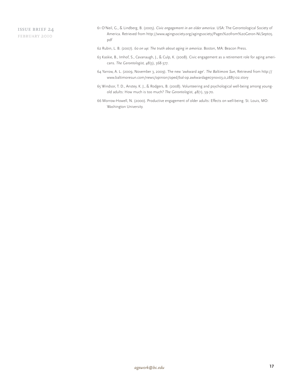- 61 O'Neil, G., & Lindberg, B. (2005). *Civic engagement in an older america.* USA: The Gerontological Society of America. Retrieved from http://www.agingsociety.org/agingsociety/Pages%20from%20Geron-NLSept05. pdf
- 62 Rubin, L. B. (2007). *60 on up: The truth about aging in america.* Boston, MA: Beacon Press.
- 63 Kaskie, B., Imhof, S., Cavanaugh, J., & Culp, K. (2008). Civic engagement as a retirement role for aging americans. *The Gerontologist, 48*(3), 368-377.
- 64 Yarrow, A. L. (2009, November 3, 2009). The new 'awkward age'. *The Baltimore Sun,* Retrieved from http:// www.baltimoresun.com/news/opinion/oped/bal-op.awkwardage03nov03,0,2885102.story
- 65 Windsor, T. D., Anstey, K. J., & Rodgers, B. (2008). Volunteering and psychological well-being among youngold adults: How much is too much? *The Gerontologist, 48*(1), 59-70.
- 66 Morrow-Howell, N. (2000). Productive engagement of older adults: Effects on well-being. St. Louis, MO: Washington University.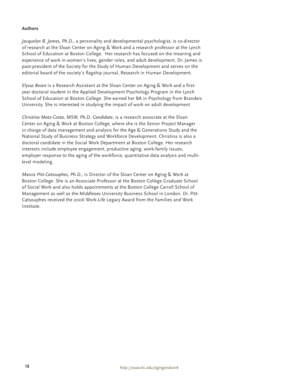## **Authors**

*Jacquelyn B. James, Ph.D.*, a personality and developmental psychologist, is co-director of research at the Sloan Center on Aging & Work and a research professor at the Lynch School of Education at Boston College. Her research has focused on the meaning and experience of work in women's lives, gender roles, and adult development. Dr. James is past-president of the Society for the Study of Human Development and serves on the editorial board of the society's flagship journal, Research in Human Development.

*Elyssa Besen* is a Research Assistant at the Sloan Center on Aging & Work and a firstyear doctoral student in the Applied Development Psychology Program in the Lynch School of Education at Boston College. She earned her BA in Psychology from Brandeis University. She is interested in studying the impact of work on adult development

*Christina Matz-Costa, MSW, Ph.D. Candidate*, is a research associate at the Sloan Center on Aging & Work at Boston College, where she is the Senior Project Manager in charge of data management and analysis for the Age & Generations Study and the National Study of Business Strategy and Workforce Development. Christina is also a doctoral candidate in the Social Work Department at Boston College. Her research interests include employee engagement, productive aging, work-family issues, employer response to the aging of the workforce, quantitative data analysis and multilevel modeling.

*Marcie Pitt-Catsouphes, Ph.D.,* is Director of the Sloan Center on Aging & Work at Boston College. She is an Associate Professor at the Boston College Graduate School of Social Work and also holds appointments at the Boston College Carroll School of Management as well as the Middlesex University Business School in London. Dr. Pitt-Catsouphes received the 2006 Work-Life Legacy Award from the Families and Work Institute.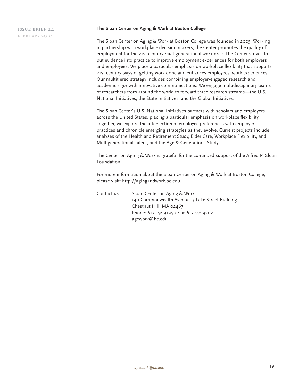#### **The Sloan Center on Aging & Work at Boston College**

The Sloan Center on Aging & Work at Boston College was founded in 2005. Working in partnership with workplace decision makers, the Center promotes the quality of employment for the 21st century multigenerational workforce. The Center strives to put evidence into practice to improve employment experiences for both employers and employees. We place a particular emphasis on workplace flexibility that supports 21st century ways of getting work done and enhances employees' work experiences. Our multitiered strategy includes combining employer-engaged research and academic rigor with innovative communications. We engage multidisciplinary teams of researchers from around the world to forward three research streams—the U.S. National Initiatives, the State Initiatives, and the Global Initiatives.

The Sloan Center's U.S. National Initiatives partners with scholars and employers across the United States, placing a particular emphasis on workplace flexibility. Together, we explore the intersection of employee preferences with employer practices and chronicle emerging strategies as they evolve. Current projects include analyses of the Health and Retirement Study, Elder Care, Workplace Flexibility, and Multigenerational Talent, and the Age & Generations Study.

The Center on Aging & Work is grateful for the continued support of the Alfred P. Sloan Foundation.

For more information about the Sloan Center on Aging & Work at Boston College, please visit: http://agingandwork.bc.edu.

Contact us: Sloan Center on Aging & Work 140 Commonwealth Avenue–3 Lake Street Building Chestnut Hill, MA 02467 Phone: 617.552.9195 • Fax: 617.552.9202 agework@bc.edu